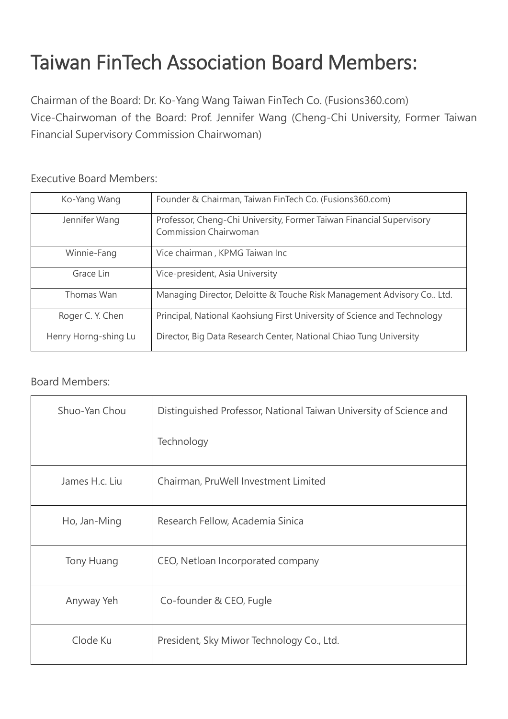## Taiwan FinTech Association Board Members:

Chairman of the Board: Dr. Ko-Yang Wang Taiwan FinTech Co. (Fusions360.com) Vice-Chairwoman of the Board: Prof. Jennifer Wang (Cheng-Chi University, Former Taiwan Financial Supervisory Commission Chairwoman)

## Executive Board Members:

| Ko-Yang Wang         | Founder & Chairman, Taiwan FinTech Co. (Fusions360.com)                                              |
|----------------------|------------------------------------------------------------------------------------------------------|
| Jennifer Wang        | Professor, Cheng-Chi University, Former Taiwan Financial Supervisory<br><b>Commission Chairwoman</b> |
| Winnie-Fang          | Vice chairman, KPMG Taiwan Inc                                                                       |
| Grace Lin            | Vice-president, Asia University                                                                      |
| Thomas Wan           | Managing Director, Deloitte & Touche Risk Management Advisory Co., Ltd.                              |
| Roger C. Y. Chen     | Principal, National Kaohsiung First University of Science and Technology                             |
| Henry Horng-shing Lu | Director, Big Data Research Center, National Chiao Tung University                                   |

## Board Members:

| Shuo-Yan Chou  | Distinguished Professor, National Taiwan University of Science and |
|----------------|--------------------------------------------------------------------|
|                | Technology                                                         |
| James H.c. Liu | Chairman, PruWell Investment Limited                               |
| Ho, Jan-Ming   | Research Fellow, Academia Sinica                                   |
| Tony Huang     | CEO, Netloan Incorporated company                                  |
| Anyway Yeh     | Co-founder & CEO, Fugle                                            |
| Clode Ku       | President, Sky Miwor Technology Co., Ltd.                          |